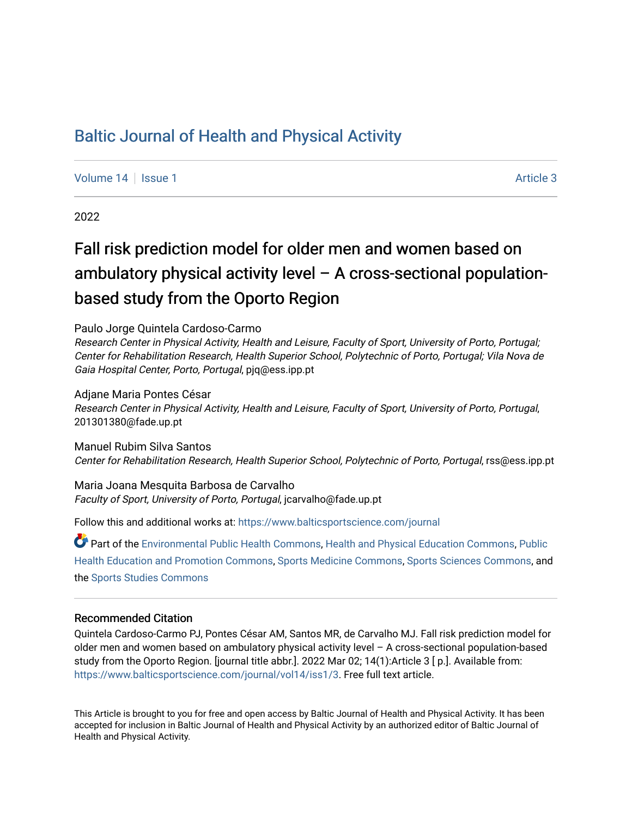# [Baltic Journal of Health and Physical Activity](https://www.balticsportscience.com/journal)

[Volume 14](https://www.balticsportscience.com/journal/vol14) | [Issue 1](https://www.balticsportscience.com/journal/vol14/iss1) Article 3

2022

# Fall risk prediction model for older men and women based on ambulatory physical activity level – A cross-sectional populationbased study from the Oporto Region

Paulo Jorge Quintela Cardoso-Carmo

Research Center in Physical Activity, Health and Leisure, Faculty of Sport, University of Porto, Portugal; Center for Rehabilitation Research, Health Superior School, Polytechnic of Porto, Portugal; Vila Nova de Gaia Hospital Center, Porto, Portugal, pjq@ess.ipp.pt

# Adjane Maria Pontes César

Research Center in Physical Activity, Health and Leisure, Faculty of Sport, University of Porto, Portugal, 201301380@fade.up.pt

Manuel Rubim Silva Santos Center for Rehabilitation Research, Health Superior School, Polytechnic of Porto, Portugal, rss@ess.ipp.pt

Maria Joana Mesquita Barbosa de Carvalho Faculty of Sport, University of Porto, Portugal, jcarvalho@fade.up.pt

Follow this and additional works at: [https://www.balticsportscience.com/journal](https://www.balticsportscience.com/journal?utm_source=www.balticsportscience.com%2Fjournal%2Fvol14%2Fiss1%2F3&utm_medium=PDF&utm_campaign=PDFCoverPages) 

Part of the [Environmental Public Health Commons](https://network.bepress.com/hgg/discipline/739?utm_source=www.balticsportscience.com%2Fjournal%2Fvol14%2Fiss1%2F3&utm_medium=PDF&utm_campaign=PDFCoverPages), [Health and Physical Education Commons,](https://network.bepress.com/hgg/discipline/1327?utm_source=www.balticsportscience.com%2Fjournal%2Fvol14%2Fiss1%2F3&utm_medium=PDF&utm_campaign=PDFCoverPages) [Public](https://network.bepress.com/hgg/discipline/743?utm_source=www.balticsportscience.com%2Fjournal%2Fvol14%2Fiss1%2F3&utm_medium=PDF&utm_campaign=PDFCoverPages)  [Health Education and Promotion Commons,](https://network.bepress.com/hgg/discipline/743?utm_source=www.balticsportscience.com%2Fjournal%2Fvol14%2Fiss1%2F3&utm_medium=PDF&utm_campaign=PDFCoverPages) [Sports Medicine Commons](https://network.bepress.com/hgg/discipline/1331?utm_source=www.balticsportscience.com%2Fjournal%2Fvol14%2Fiss1%2F3&utm_medium=PDF&utm_campaign=PDFCoverPages), [Sports Sciences Commons,](https://network.bepress.com/hgg/discipline/759?utm_source=www.balticsportscience.com%2Fjournal%2Fvol14%2Fiss1%2F3&utm_medium=PDF&utm_campaign=PDFCoverPages) and the [Sports Studies Commons](https://network.bepress.com/hgg/discipline/1198?utm_source=www.balticsportscience.com%2Fjournal%2Fvol14%2Fiss1%2F3&utm_medium=PDF&utm_campaign=PDFCoverPages)

# Recommended Citation

Quintela Cardoso-Carmo PJ, Pontes César AM, Santos MR, de Carvalho MJ. Fall risk prediction model for older men and women based on ambulatory physical activity level – A cross-sectional population-based study from the Oporto Region. [journal title abbr.]. 2022 Mar 02; 14(1):Article 3 [ p.]. Available from: [https://www.balticsportscience.com/journal/vol14/iss1/3](https://www.balticsportscience.com/journal/vol14/iss1/3?utm_source=www.balticsportscience.com%2Fjournal%2Fvol14%2Fiss1%2F3&utm_medium=PDF&utm_campaign=PDFCoverPages). Free full text article.

This Article is brought to you for free and open access by Baltic Journal of Health and Physical Activity. It has been accepted for inclusion in Baltic Journal of Health and Physical Activity by an authorized editor of Baltic Journal of Health and Physical Activity.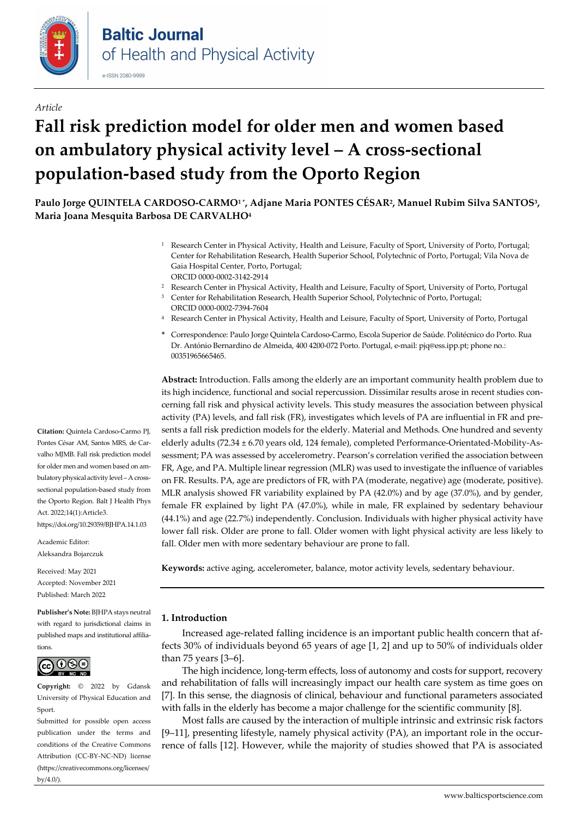

## *Article*

# **Fall risk prediction model for older men and women based on ambulatory physical activity level – A cross-sectional population-based study from the Oporto Region**

**Paulo Jorge QUINTELA CARDOSO-CARMO1 \*, Adjane Maria PONTES CÉSAR2, Manuel Rubim Silva SANTOS3, Maria Joana Mesquita Barbosa DE CARVALHO4**

- <sup>1</sup> Research Center in Physical Activity, Health and Leisure, Faculty of Sport, University of Porto, Portugal; Center for Rehabilitation Research, Health Superior School, Polytechnic of Porto, Portugal; Vila Nova de Gaia Hospital Center, Porto, Portugal; ORCI[D 0000-0002-3142-2914](https://orcid.org/0000-0002-3142-2914)
- <sup>2</sup> Research Center in Physical Activity, Health and Leisure, Faculty of Sport, University of Porto, Portugal
- Center for Rehabilitation Research, Health Superior School, Polytechnic of Porto, Portugal; ORCI[D 0000-0002-7394-7604](https://orcid.org/0000-0002-7394-7604)
- Research Center in Physical Activity, Health and Leisure, Faculty of Sport, University of Porto, Portugal
- **\*** Correspondence: Paulo Jorge Quintela Cardoso-Carmo, Escola Superior de Saúde. Politécnico do Porto. Rua Dr. António Bernardino de Almeida, 400 4200-072 Porto. Portugal, e-mail: pjq@ess.ipp.pt; phone no.: 00351965665465.

**Abstract:** Introduction. Falls among the elderly are an important community health problem due to its high incidence, functional and social repercussion. Dissimilar results arose in recent studies concerning fall risk and physical activity levels. This study measures the association between physical activity (PA) levels, and fall risk (FR), investigates which levels of PA are influential in FR and presents a fall risk prediction models for the elderly. Material and Methods. One hundred and seventy elderly adults (72.34 ± 6.70 years old, 124 female), completed Performance-Orientated-Mobility-Assessment; PA was assessed by accelerometry. Pearson's correlation verified the association between FR, Age, and PA. Multiple linear regression (MLR) was used to investigate the influence of variables on FR. Results. PA, age are predictors of FR, with PA (moderate, negative) age (moderate, positive). MLR analysis showed FR variability explained by PA (42.0%) and by age (37.0%), and by gender, female FR explained by light PA (47.0%), while in male, FR explained by sedentary behaviour (44.1%) and age (22.7%) independently. Conclusion. Individuals with higher physical activity have lower fall risk. Older are prone to fall. Older women with light physical activity are less likely to fall. Older men with more sedentary behaviour are prone to fall.

**Keywords:** active aging, accelerometer, balance, motor activity levels, sedentary behaviour.

# **1. Introduction**

Increased age-related falling incidence is an important public health concern that affects 30% of individuals beyond 65 years of age [1, 2] and up to 50% of individuals older than 75 years [3–6].

The high incidence, long-term effects, loss of autonomy and costs for support, recovery and rehabilitation of falls will increasingly impact our health care system as time goes on [7]. In this sense, the diagnosis of clinical, behaviour and functional parameters associated with falls in the elderly has become a major challenge for the scientific community [8].

Most falls are caused by the interaction of multiple intrinsic and extrinsic risk factors [9–11], presenting lifestyle, namely physical activity (PA), an important role in the occurrence of falls [12]. However, while the majority of studies showed that PA is associated

**Citation:** Quintela Cardoso-Carmo PJ, Pontes César AM, Santos MRS, de Carvalho MJMB. Fall risk prediction model for older men and women based on ambulatory physical activity level – A crosssectional population-based study from the Oporto Region. Balt J Health Phys Act. 2022;14(1):Article3. https://doi.org/10.29359/BJHPA.14.1.03

Academic Editor: Aleksandra Bojarczuk

Received: May 2021 Accepted: November 2021 Published: March 2022

**Publisher's Note:** BJHPA stays neutral with regard to jurisdictional claims in published maps and institutional affiliations



**Copyright:** © 2022 by Gdansk University of Physical Education and Sport.

Submitted for possible open access publication under the terms and conditions of the Creative Commons Attribution (CC-BY-NC-ND) license (https://creativecommons.org/licenses/ by/4.0/).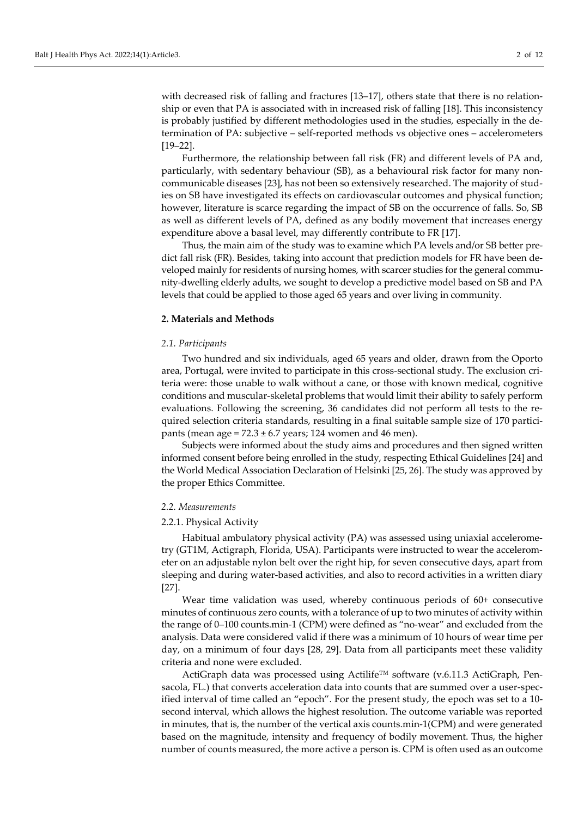with decreased risk of falling and fractures [13–17], others state that there is no relationship or even that PA is associated with in increased risk of falling [18]. This inconsistency is probably justified by different methodologies used in the studies, especially in the determination of PA: subjective – self-reported methods vs objective ones – accelerometers [19–22].

Furthermore, the relationship between fall risk (FR) and different levels of PA and, particularly, with sedentary behaviour (SB), as a behavioural risk factor for many noncommunicable diseases [23], has not been so extensively researched. The majority of studies on SB have investigated its effects on cardiovascular outcomes and physical function; however, literature is scarce regarding the impact of SB on the occurrence of falls. So, SB as well as different levels of PA, defined as any bodily movement that increases energy expenditure above a basal level, may differently contribute to FR [17].

Thus, the main aim of the study was to examine which PA levels and/or SB better predict fall risk (FR). Besides, taking into account that prediction models for FR have been developed mainly for residents of nursing homes, with scarcer studies for the general community-dwelling elderly adults, we sought to develop a predictive model based on SB and PA levels that could be applied to those aged 65 years and over living in community.

#### **2. Materials and Methods**

#### *2.1. Participants*

Two hundred and six individuals, aged 65 years and older, drawn from the Oporto area, Portugal, were invited to participate in this cross-sectional study. The exclusion criteria were: those unable to walk without a cane, or those with known medical, cognitive conditions and muscular-skeletal problems that would limit their ability to safely perform evaluations. Following the screening, 36 candidates did not perform all tests to the required selection criteria standards, resulting in a final suitable sample size of 170 participants (mean age =  $72.3 \pm 6.7$  years; 124 women and 46 men).

Subjects were informed about the study aims and procedures and then signed written informed consent before being enrolled in the study, respecting Ethical Guidelines [24] and the World Medical Association Declaration of Helsinki [25, 26]. The study was approved by the proper Ethics Committee.

#### *2.2. Measurements*

#### 2.2.1. Physical Activity

Habitual ambulatory physical activity (PA) was assessed using uniaxial accelerometry (GT1M, Actigraph, Florida, USA). Participants were instructed to wear the accelerometer on an adjustable nylon belt over the right hip, for seven consecutive days, apart from sleeping and during water-based activities, and also to record activities in a written diary [27].

Wear time validation was used, whereby continuous periods of 60+ consecutive minutes of continuous zero counts, with a tolerance of up to two minutes of activity within the range of 0–100 counts.min-1 (CPM) were defined as "no-wear" and excluded from the analysis. Data were considered valid if there was a minimum of 10 hours of wear time per day, on a minimum of four days [28, 29]. Data from all participants meet these validity criteria and none were excluded.

ActiGraph data was processed using Actilife™ software (v.6.11.3 ActiGraph, Pensacola, FL.) that converts acceleration data into counts that are summed over a user-specified interval of time called an "epoch". For the present study, the epoch was set to a 10 second interval, which allows the highest resolution. The outcome variable was reported in minutes, that is, the number of the vertical axis counts.min-1(CPM) and were generated based on the magnitude, intensity and frequency of bodily movement. Thus, the higher number of counts measured, the more active a person is. CPM is often used as an outcome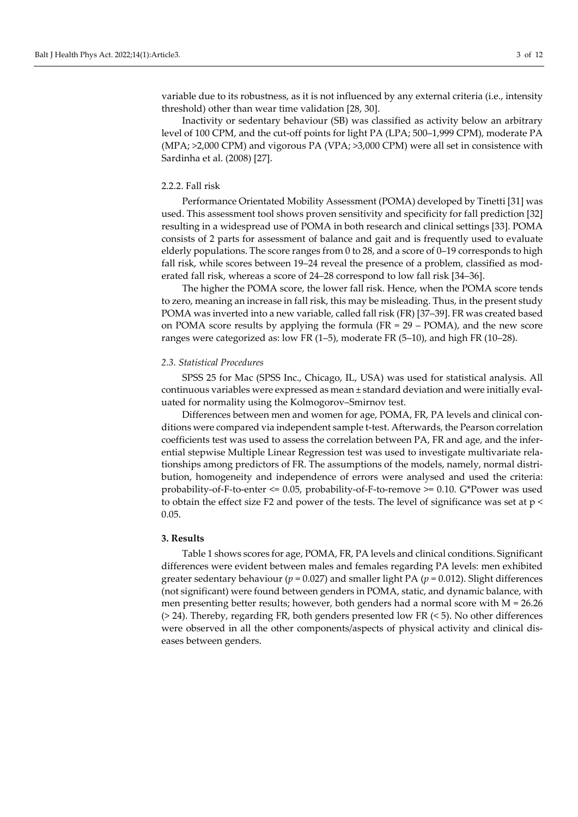variable due to its robustness, as it is not influenced by any external criteria (i.e., intensity threshold) other than wear time validation [28, 30].

Inactivity or sedentary behaviour (SB) was classified as activity below an arbitrary level of 100 CPM, and the cut-off points for light PA (LPA; 500–1,999 CPM), moderate PA (MPA; >2,000 CPM) and vigorous PA (VPA; >3,000 CPM) were all set in consistence with Sardinha et al. (2008) [27].

# 2.2.2. Fall risk

Performance Orientated Mobility Assessment (POMA) developed by Tinetti [31] was used. This assessment tool shows proven sensitivity and specificity for fall prediction [32] resulting in a widespread use of POMA in both research and clinical settings [33]. POMA consists of 2 parts for assessment of balance and gait and is frequently used to evaluate elderly populations. The score ranges from 0 to 28, and a score of 0–19 corresponds to high fall risk, while scores between 19–24 reveal the presence of a problem, classified as moderated fall risk, whereas a score of 24–28 correspond to low fall risk [34–36].

The higher the POMA score, the lower fall risk. Hence, when the POMA score tends to zero, meaning an increase in fall risk, this may be misleading. Thus, in the present study POMA was inverted into a new variable, called fall risk (FR) [37–39]. FR was created based on POMA score results by applying the formula ( $FR = 29 - POMA$ ), and the new score ranges were categorized as: low FR (1–5), moderate FR (5–10), and high FR (10–28).

## *2.3. Statistical Procedures*

SPSS 25 for Mac (SPSS Inc., Chicago, IL, USA) was used for statistical analysis. All continuous variables were expressed as mean ± standard deviation and were initially evaluated for normality using the Kolmogorov–Smirnov test.

Differences between men and women for age, POMA, FR, PA levels and clinical conditions were compared via independent sample t-test. Afterwards, the Pearson correlation coefficients test was used to assess the correlation between PA, FR and age, and the inferential stepwise Multiple Linear Regression test was used to investigate multivariate relationships among predictors of FR. The assumptions of the models, namely, normal distribution, homogeneity and independence of errors were analysed and used the criteria: probability-of-F-to-enter  $\leq$  0.05, probability-of-F-to-remove  $\geq$  0.10. G\*Power was used to obtain the effect size F2 and power of the tests. The level of significance was set at p < 0.05.

#### **3. Results**

Table 1 shows scores for age, POMA, FR, PA levels and clinical conditions. Significant differences were evident between males and females regarding PA levels: men exhibited greater sedentary behaviour ( $p = 0.027$ ) and smaller light PA ( $p = 0.012$ ). Slight differences (not significant) were found between genders in POMA, static, and dynamic balance, with men presenting better results; however, both genders had a normal score with  $M = 26.26$ (> 24). Thereby, regarding FR, both genders presented low FR (< 5). No other differences were observed in all the other components/aspects of physical activity and clinical diseases between genders.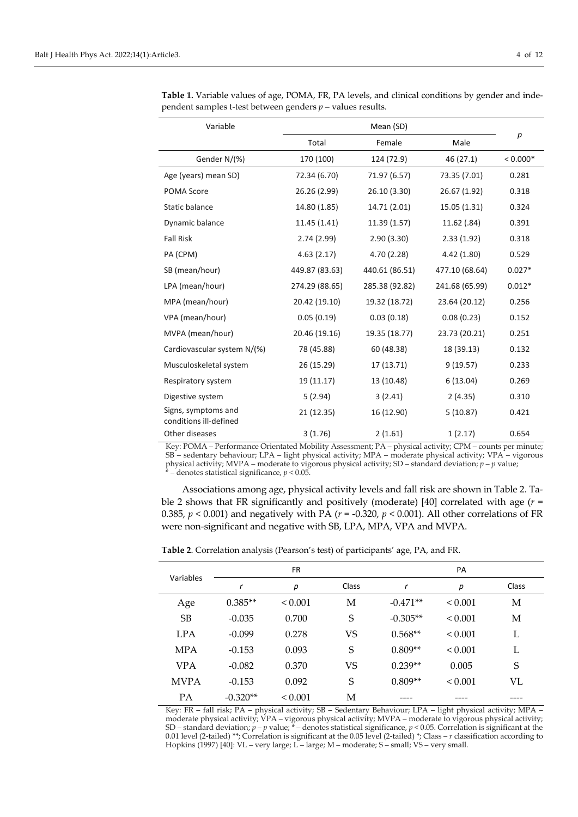| Variable                                      |                |                |                |            |  |
|-----------------------------------------------|----------------|----------------|----------------|------------|--|
|                                               | Total          | Female         | Male           | р          |  |
| Gender N/(%)                                  | 170 (100)      | 124 (72.9)     | 46 (27.1)      | $< 0.000*$ |  |
| Age (years) mean SD)                          | 72.34 (6.70)   | 71.97 (6.57)   | 73.35 (7.01)   | 0.281      |  |
| POMA Score                                    | 26.26 (2.99)   | 26.10 (3.30)   | 26.67 (1.92)   | 0.318      |  |
| <b>Static balance</b>                         | 14.80 (1.85)   | 14.71 (2.01)   | 15.05 (1.31)   | 0.324      |  |
| Dynamic balance                               | 11.45 (1.41)   | 11.39 (1.57)   | 11.62 (.84)    | 0.391      |  |
| <b>Fall Risk</b>                              | 2.74(2.99)     | 2.90(3.30)     | 2.33(1.92)     | 0.318      |  |
| PA (CPM)                                      | 4.63(2.17)     |                | 4.42 (1.80)    | 0.529      |  |
| SB (mean/hour)                                | 449.87 (83.63) |                | 477.10 (68.64) | $0.027*$   |  |
| LPA (mean/hour)                               | 274.29 (88.65) | 285.38 (92.82) | 241.68 (65.99) | $0.012*$   |  |
| MPA (mean/hour)                               | 20.42 (19.10)  | 19.32 (18.72)  | 23.64 (20.12)  | 0.256      |  |
| VPA (mean/hour)                               | 0.05(0.19)     | 0.03(0.18)     | 0.08(0.23)     | 0.152      |  |
| MVPA (mean/hour)                              | 20.46 (19.16)  | 19.35 (18.77)  | 23.73 (20.21)  | 0.251      |  |
| Cardiovascular system N/(%)                   | 78 (45.88)     |                | 18 (39.13)     | 0.132      |  |
| Musculoskeletal system                        | 26 (15.29)     |                | 9(19.57)       | 0.233      |  |
| Respiratory system                            | 19 (11.17)     | 13 (10.48)     | 6(13.04)       | 0.269      |  |
| Digestive system                              | 5(2.94)        | 3(2.41)        | 2(4.35)        | 0.310      |  |
| Signs, symptoms and<br>conditions ill-defined | 21 (12.35)     | 16 (12.90)     | 5(10.87)       | 0.421      |  |
| Other diseases                                | 3(1.76)        | 2(1.61)        | 1(2.17)        | 0.654      |  |

**Table 1.** Variable values of age, POMA, FR, PA levels, and clinical conditions by gender and independent samples t-test between genders *p* – values results.

Key: POMA – Performance Orientated Mobility Assessment; PA – physical activity; CPM – counts per minute; SB – sedentary behaviour; LPA – light physical activity; MPA – moderate physical activity; VPA – vigorous physical activity; MVPA – moderate to vigorous physical activity; SD – standard deviation; *p* – *p* value;<br>  $\frac{1}{2}$  denotes at tivity; SD – standard deviation; *p* – *p* value;  $\frac{1}{x}$  – denotes statistical significance,  $p < 0.05$ .

Associations among age, physical activity levels and fall risk are shown in Table 2. Table 2 shows that FR significantly and positively (moderate) [40] correlated with age (*r* = 0.385,  $p < 0.001$ ) and negatively with PA ( $r = -0.320$ ,  $p < 0.001$ ). All other correlations of FR were non-significant and negative with SB, LPA, MPA, VPA and MVPA.

**Table 2**. Correlation analysis (Pearson's test) of participants' age, PA, and FR.

| Variables   | <b>FR</b>  |              |           | PA         |              |       |
|-------------|------------|--------------|-----------|------------|--------------|-------|
|             | r          | р            | Class     | r          | р            | Class |
| Age         | $0.385**$  | ${}_{0.001}$ | М         | $-0.471**$ | ${}< 0.001$  | М     |
| SB          | $-0.035$   | 0.700        | S         | $-0.305**$ | < 0.001      | М     |
| <b>LPA</b>  | $-0.099$   | 0.278        | <b>VS</b> | $0.568**$  | ${}< 0.001$  | L     |
| <b>MPA</b>  | $-0.153$   | 0.093        | S         | $0.809**$  | ${}< 0.001$  | L     |
| <b>VPA</b>  | $-0.082$   | 0.370        | <b>VS</b> | $0.239**$  | 0.005        | S     |
| <b>MVPA</b> | $-0.153$   | 0.092        | S         | $0.809**$  | ${}_{0.001}$ | VL    |
| PA          | $-0.320**$ | ${}_{0.001}$ | М         |            |              |       |

Key: FR – fall risk; PA – physical activity; SB – Sedentary Behaviour; LPA – light physical activity; MPA – moderate physical activity; VPA – vigorous physical activity; MVPA – moderate to vigorous physical activity; SD – standard deviation; *p* – *p* value; \* – denotes statistical significance, *p* < 0.05. Correlation is significant at the 0.01 level (2-tailed) \*\*; Correlation is significant at the 0.05 level (2-tailed) \*; Class – *r* classification according to Hopkins (1997) [40]: VL – very large; L – large; M – moderate; S – small; VS – very small.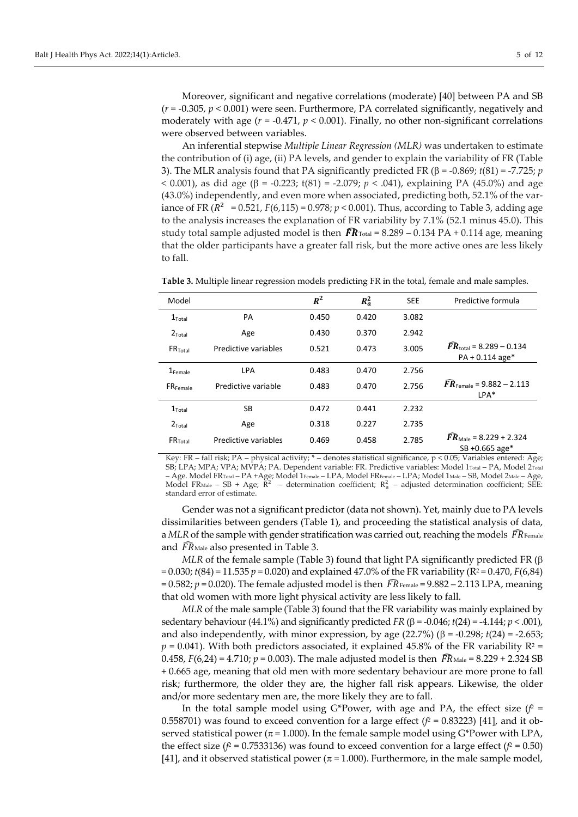Moreover, significant and negative correlations (moderate) [40] between PA and SB  $(r = -0.305, p < 0.001)$  were seen. Furthermore, PA correlated significantly, negatively and moderately with age (*r* = -0.471, *p* < 0.001). Finally, no other non-significant correlations were observed between variables.

An inferential stepwise *Multiple Linear Regression (MLR)* was undertaken to estimate the contribution of (i) age, (ii) PA levels, and gender to explain the variability of FR (Table 3). The MLR analysis found that PA significantly predicted FR (β = -0.869; *t*(81) = -7.725; *p* < 0.001), as did age (β = -0.223; t(81) = -2.079;  $p < .041$ ), explaining PA (45.0%) and age (43.0%) independently, and even more when associated, predicting both, 52.1% of the variance of FR  $(R^2 = 0.521, F(6,115) = 0.978; p < 0.001)$ . Thus, according to Table 3, adding age to the analysis increases the explanation of FR variability by 7.1% (52.1 minus 45.0). This study total sample adjusted model is then  $\widehat{FR}_{\text{Total}} = 8.289 - 0.134 \text{ PA} + 0.114 \text{ age, meaning}$ that the older participants have a greater fall risk, but the more active ones are less likely to fall.

| Model                  |                      | $R^2$ | $R_a^2$ | <b>SEE</b> | Predictive formula                                             |
|------------------------|----------------------|-------|---------|------------|----------------------------------------------------------------|
| $1$ Total              | PA                   | 0.450 | 0.420   | 3.082      |                                                                |
| $2$ Total              | Age                  | 0.430 | 0.370   | 2.942      |                                                                |
| $FR$ <sub>Total</sub>  | Predictive variables | 0.521 | 0.473   | 3.005      | $\bar{F}R_{\text{total}} = 8.289 - 0.134$<br>$PA + 0.114$ age* |
| $1$ Female             | <b>LPA</b>           | 0.483 | 0.470   | 2.756      |                                                                |
| $FR$ <sub>Female</sub> | Predictive variable  | 0.483 | 0.470   | 2.756      | $\widehat{FR}_{\text{Female}} = 9.882 - 2.113$<br>$LPA*$       |
| $1$ Total              | SB                   | 0.472 | 0.441   | 2.232      |                                                                |
| $2$ Total              | Age                  | 0.318 | 0.227   | 2.735      |                                                                |
| $FR$ <sub>Total</sub>  | Predictive variables | 0.469 | 0.458   | 2.785      | $\bar{F}R_{\text{Male}}$ = 8.229 + 2.324<br>SB +0.665 age*     |

**Table 3.** Multiple linear regression models predicting FR in the total, female and male samples.

Key: FR – fall risk; PA – physical activity; \* – denotes statistical significance, p < 0.05; Variables entered: Age; SB; LPA; MPA; VPA; MVPA; PA. Dependent variable: FR. Predictive variables: Model 1Total – PA, Model 2Total – Age. Model FRTotal – PA +Age; Model 1Female – LPA, Model FRFemale – LPA; Model 1Male – SB, Model 2Male – Age, Model FR<sub>Male</sub> – SB + Age;  $R^2$  – determination coefficient;  $R_a^2$  – adjusted determination coefficient; SEE: standard error of estimate.

Gender was not a significant predictor (data not shown). Yet, mainly due to PA levels dissimilarities between genders (Table 1), and proceeding the statistical analysis of data, a MLR of the sample with gender stratification was carried out, reaching the models  $\,F\!R_{\hbox{\tiny Female}}$ and  $\widehat{FR}_{\text{Male}}$  also presented in Table 3.

*MLR* of the female sample (Table 3) found that light PA significantly predicted FR (β  $= 0.030$ ; *t*(84) = 11.535 *p* = 0.020) and explained 47.0% of the FR variability (R<sup>2</sup> = 0.470, *F*(6,84) =  $0.582$ ;  $p$  =  $0.020$ ). The female adjusted model is then  $\overline{F}$ R<sub>Female</sub> =  $9.882$  – 2.113 LPA, meaning that old women with more light physical activity are less likely to fall.

*MLR* of the male sample (Table 3) found that the FR variability was mainly explained by sedentary behaviour (44.1%) and significantly predicted  $FR$  ( $\beta$  = -0.046;  $t(24)$  = -4.144;  $p < .001$ ), and also independently, with minor expression, by age  $(22.7%)$   $(\beta = -0.298; t(24) = -2.653;$  $p = 0.041$ ). With both predictors associated, it explained 45.8% of the FR variability  $R^2 =$ 0.458,  $F(6,24) = 4.710$ ;  $p = 0.003$ ). The male adjusted model is then  $\overline{F}R_{\text{Male}} = 8.229 + 2.324 \text{ SB}$ + 0.665 age, meaning that old men with more sedentary behaviour are more prone to fall risk; furthermore, the older they are, the higher fall risk appears. Likewise, the older and/or more sedentary men are, the more likely they are to fall.

In the total sample model using G\*Power, with age and PA, the effect size  $(f^2 =$ 0.558701) was found to exceed convention for a large effect  $(f^2 = 0.83223)$  [41], and it observed statistical power ( $\pi$  = 1.000). In the female sample model using G\*Power with LPA, the effect size ( $f^2$  = 0.7533136) was found to exceed convention for a large effect ( $f^2$  = 0.50) [41], and it observed statistical power ( $\pi$  = 1.000). Furthermore, in the male sample model,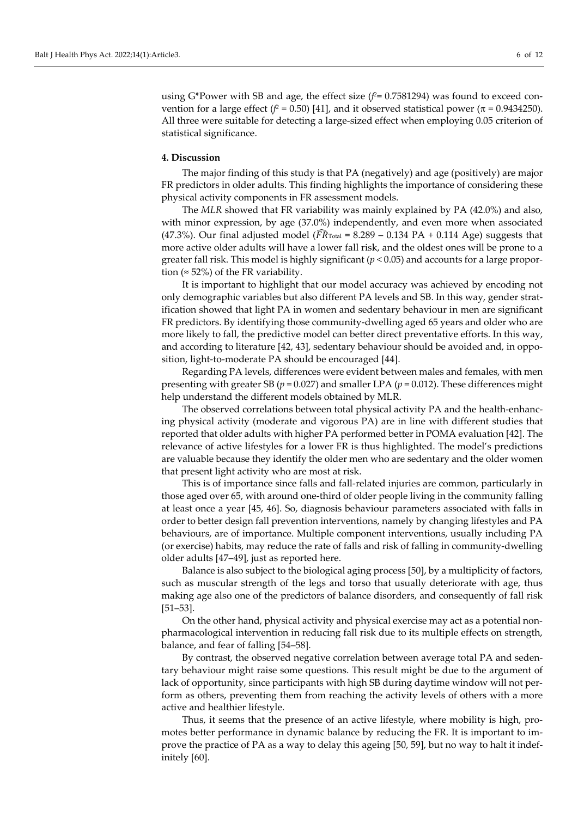using G\*Power with SB and age, the effect size  $(f^2 = 0.7581294)$  was found to exceed convention for a large effect ( $f^2$  = 0.50) [41], and it observed statistical power (π = 0.9434250). All three were suitable for detecting a large-sized effect when employing 0.05 criterion of statistical significance.

#### **4. Discussion**

The major finding of this study is that PA (negatively) and age (positively) are major FR predictors in older adults. This finding highlights the importance of considering these physical activity components in FR assessment models.

The *MLR* showed that FR variability was mainly explained by PA (42.0%) and also, with minor expression, by age (37.0%) independently, and even more when associated (47.3%). Our final adjusted model ( $\widehat{FR}_{\text{Total}}$  = 8.289 – 0.134 PA + 0.114 Age) suggests that more active older adults will have a lower fall risk, and the oldest ones will be prone to a greater fall risk. This model is highly significant (*p* < 0.05) and accounts for a large proportion ( $\approx$  52%) of the FR variability.

It is important to highlight that our model accuracy was achieved by encoding not only demographic variables but also different PA levels and SB. In this way, gender stratification showed that light PA in women and sedentary behaviour in men are significant FR predictors. By identifying those community-dwelling aged 65 years and older who are more likely to fall, the predictive model can better direct preventative efforts. In this way, and according to literature [42, 43], sedentary behaviour should be avoided and, in opposition, light-to-moderate PA should be encouraged [44].

Regarding PA levels, differences were evident between males and females, with men presenting with greater SB (*p* = 0.027) and smaller LPA (*p* = 0.012). These differences might help understand the different models obtained by MLR.

The observed correlations between total physical activity PA and the health-enhancing physical activity (moderate and vigorous PA) are in line with different studies that reported that older adults with higher PA performed better in POMA evaluation [42]. The relevance of active lifestyles for a lower FR is thus highlighted. The model's predictions are valuable because they identify the older men who are sedentary and the older women that present light activity who are most at risk.

This is of importance since falls and fall-related injuries are common, particularly in those aged over 65, with around one-third of older people living in the community falling at least once a year [45, 46]. So, diagnosis behaviour parameters associated with falls in order to better design fall prevention interventions, namely by changing lifestyles and PA behaviours, are of importance. Multiple component interventions, usually including PA (or exercise) habits, may reduce the rate of falls and risk of falling in community-dwelling older adults [47–49], just as reported here.

Balance is also subject to the biological aging process [50], by a multiplicity of factors, such as muscular strength of the legs and torso that usually deteriorate with age, thus making age also one of the predictors of balance disorders, and consequently of fall risk [51–53].

On the other hand, physical activity and physical exercise may act as a potential nonpharmacological intervention in reducing fall risk due to its multiple effects on strength, balance, and fear of falling [54–58].

By contrast, the observed negative correlation between average total PA and sedentary behaviour might raise some questions. This result might be due to the argument of lack of opportunity, since participants with high SB during daytime window will not perform as others, preventing them from reaching the activity levels of others with a more active and healthier lifestyle.

Thus, it seems that the presence of an active lifestyle, where mobility is high, promotes better performance in dynamic balance by reducing the FR. It is important to improve the practice of PA as a way to delay this ageing [50, 59], but no way to halt it indefinitely [60].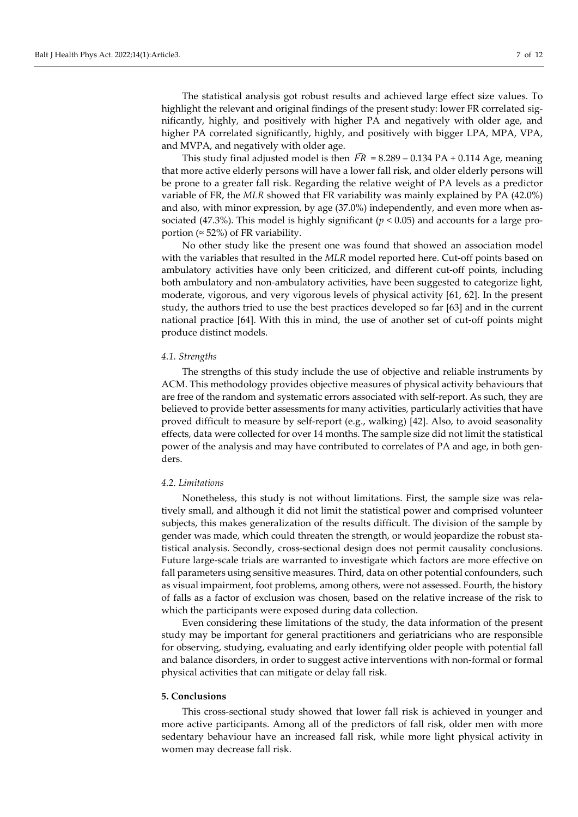The statistical analysis got robust results and achieved large effect size values. To highlight the relevant and original findings of the present study: lower FR correlated significantly, highly, and positively with higher PA and negatively with older age, and higher PA correlated significantly, highly, and positively with bigger LPA, MPA, VPA, and MVPA, and negatively with older age.

This study final adjusted model is then  $\bar{F}R = 8.289 - 0.134 \text{ PA} + 0.114 \text{ Age}$ , meaning that more active elderly persons will have a lower fall risk, and older elderly persons will be prone to a greater fall risk. Regarding the relative weight of PA levels as a predictor variable of FR, the *MLR* showed that FR variability was mainly explained by PA (42.0%) and also, with minor expression, by age (37.0%) independently, and even more when associated (47.3%). This model is highly significant ( $p < 0.05$ ) and accounts for a large proportion ( $\approx$  52%) of FR variability.

No other study like the present one was found that showed an association model with the variables that resulted in the *MLR* model reported here. Cut-off points based on ambulatory activities have only been criticized, and different cut-off points, including both ambulatory and non-ambulatory activities, have been suggested to categorize light, moderate, vigorous, and very vigorous levels of physical activity [61, 62]. In the present study, the authors tried to use the best practices developed so far [63] and in the current national practice [64]. With this in mind, the use of another set of cut-off points might produce distinct models.

#### *4.1. Strengths*

The strengths of this study include the use of objective and reliable instruments by ACM. This methodology provides objective measures of physical activity behaviours that are free of the random and systematic errors associated with self-report. As such, they are believed to provide better assessments for many activities, particularly activities that have proved difficult to measure by self-report (e.g., walking) [42]. Also, to avoid seasonality effects, data were collected for over 14 months. The sample size did not limit the statistical power of the analysis and may have contributed to correlates of PA and age, in both genders.

### *4.2. Limitations*

Nonetheless, this study is not without limitations. First, the sample size was relatively small, and although it did not limit the statistical power and comprised volunteer subjects, this makes generalization of the results difficult. The division of the sample by gender was made, which could threaten the strength, or would jeopardize the robust statistical analysis. Secondly, cross-sectional design does not permit causality conclusions. Future large-scale trials are warranted to investigate which factors are more effective on fall parameters using sensitive measures. Third, data on other potential confounders, such as visual impairment, foot problems, among others, were not assessed. Fourth, the history of falls as a factor of exclusion was chosen, based on the relative increase of the risk to which the participants were exposed during data collection.

Even considering these limitations of the study, the data information of the present study may be important for general practitioners and geriatricians who are responsible for observing, studying, evaluating and early identifying older people with potential fall and balance disorders, in order to suggest active interventions with non-formal or formal physical activities that can mitigate or delay fall risk.

#### **5. Conclusions**

This cross-sectional study showed that lower fall risk is achieved in younger and more active participants. Among all of the predictors of fall risk, older men with more sedentary behaviour have an increased fall risk, while more light physical activity in women may decrease fall risk.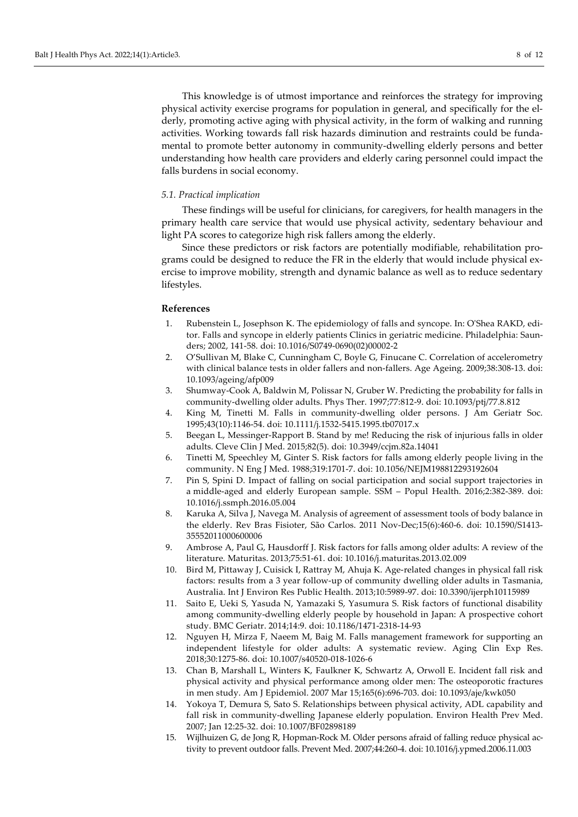This knowledge is of utmost importance and reinforces the strategy for improving physical activity exercise programs for population in general, and specifically for the elderly, promoting active aging with physical activity, in the form of walking and running activities. Working towards fall risk hazards diminution and restraints could be fundamental to promote better autonomy in community-dwelling elderly persons and better understanding how health care providers and elderly caring personnel could impact the falls burdens in social economy.

#### *5.1. Practical implication*

These findings will be useful for clinicians, for caregivers, for health managers in the primary health care service that would use physical activity, sedentary behaviour and light PA scores to categorize high risk fallers among the elderly.

Since these predictors or risk factors are potentially modifiable, rehabilitation programs could be designed to reduce the FR in the elderly that would include physical exercise to improve mobility, strength and dynamic balance as well as to reduce sedentary lifestyles.

#### **References**

- 1. Rubenstein L, Josephson K. The epidemiology of falls and syncope. In: O'Shea RAKD, editor. Falls and syncope in elderly patients Clinics in geriatric medicine. Philadelphia: Saunders; 2002, 141-58. doi: [10.1016/S0749-0690\(02\)00002-2](https://doi.org/10.1016/S0749-0690(02)00002-2)
- 2. O'Sullivan M, Blake C, Cunningham C, Boyle G, Finucane C. Correlation of accelerometry with clinical balance tests in older fallers and non-fallers. Age Ageing. 2009;38:308-13. doi: [10.1093/ageing/afp009](https://doi.org/10.1093/ageing/afp009)
- 3. Shumway-Cook A, Baldwin M, Polissar N, Gruber W. Predicting the probability for falls in community-dwelling older adults. Phys Ther. 1997;77:812-9. doi: [10.1093/ptj/77.8.812](https://doi.org/10.1093/ptj/77.8.812)
- 4. King M, Tinetti M. Falls in community-dwelling older persons. J Am Geriatr Soc. 1995;43(10):1146-54. doi: [10.1111/j.1532-5415.1995.tb07017.x](https://doi.org/10.1111/j.1532-5415.1995.tb07017.x)
- 5. Beegan L, Messinger-Rapport B. Stand by me! Reducing the risk of injurious falls in older adults. Cleve Clin J Med. 2015;82(5). doi: [10.3949/ccjm.82a.14041](https://doi.org/10.3949/ccjm.82a.14041)
- 6. Tinetti M, Speechley M, Ginter S. Risk factors for falls among elderly people living in the community. N Eng J Med. 1988;319:1701-7. doi[: 10.1056/NEJM198812293192604](https://doi.org/10.1056/NEJM198812293192604)
- 7. Pin S, Spini D. Impact of falling on social participation and social support trajectories in a middle-aged and elderly European sample. SSM – Popul Health. 2016;2:382-389. doi: [10.1016/j.ssmph.2016.05.004](https://doi.org/10.1016/j.ssmph.2016.05.004)
- 8. Karuka A, Silva J, Navega M. Analysis of agreement of assessment tools of body balance in the elderly. Rev Bras Fisioter, São Carlos. 2011 Nov-Dec;15(6):460-6. doi: [10.1590/S1413-](https://doi.org/10.1590/S1413-35552011000600006) [35552011000600006](https://doi.org/10.1590/S1413-35552011000600006)
- 9. Ambrose A, Paul G, Hausdorff J. Risk factors for falls among older adults: A review of the literature. Maturitas. 2013;75:51-61. doi[: 10.1016/j.maturitas.2013.02.009](https://doi.org/10.1016/j.maturitas.2013.02.009)
- 10. Bird M, Pittaway J, Cuisick I, Rattray M, Ahuja K. Age-related changes in physical fall risk factors: results from a 3 year follow-up of community dwelling older adults in Tasmania, Australia. Int J Environ Res Public Health. 2013;10:5989-97. doi: [10.3390/ijerph10115989](https://doi.org/10.3390/ijerph10115989)
- 11. Saito E, Ueki S, Yasuda N, Yamazaki S, Yasumura S. Risk factors of functional disability among community-dwelling elderly people by household in Japan: A prospective cohort study. BMC Geriatr. 2014;14:9. doi: [10.1186/1471-2318-14-93](https://doi.org/10.1186/1471-2318-14-93)
- 12. Nguyen H, Mirza F, Naeem M, Baig M. Falls management framework for supporting an independent lifestyle for older adults: A systematic review. Aging Clin Exp Res. 2018;30:1275-86. doi[: 10.1007/s40520-018-1026-6](https://doi.org/10.1007/s40520-018-1026-6)
- 13. Chan B, Marshall L, Winters K, Faulkner K, Schwartz A, Orwoll E. Incident fall risk and physical activity and physical performance among older men: The osteoporotic fractures in men study. Am J Epidemiol. 2007 Mar 15;165(6):696-703. doi[: 10.1093/aje/kwk050](https://doi.org/10.1093/aje/kwk050)
- 14. Yokoya T, Demura S, Sato S. Relationships between physical activity, ADL capability and fall risk in community-dwelling Japanese elderly population. Environ Health Prev Med. 2007; Jan 12:25-32. doi: [10.1007/BF02898189](https://doi.org/10.1007/BF02898189)
- 15. Wijlhuizen G, de Jong R, Hopman-Rock M. Older persons afraid of falling reduce physical activity to prevent outdoor falls. Prevent Med. 2007;44:260-4. doi: [10.1016/j.ypmed.2006.11.003](https://doi.org/10.1016/j.ypmed.2006.11.003)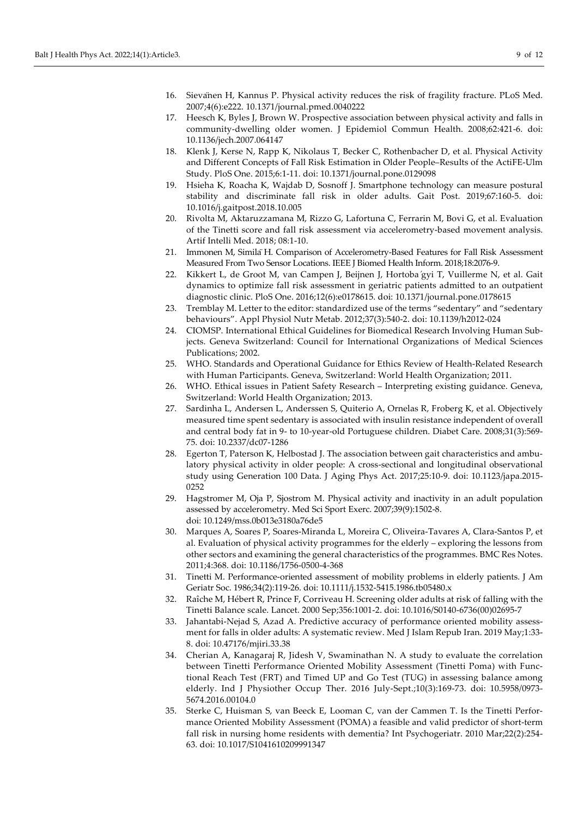- 16. Sievänen H, Kannus P. Physical activity reduces the risk of fragility fracture. PLoS Med. 2007;4(6):e222. [10.1371/journal.pmed.0040222](https://doi.org/10.1371/journal.pmed.0040222)
- 17. Heesch K, Byles J, Brown W. Prospective association between physical activity and falls in community-dwelling older women. J Epidemiol Commun Health. 2008;62:421-6. doi: [10.1136/jech.2007.064147](https://doi.org/10.1136/jech.2007.064147)
- 18. Klenk J, Kerse N, Rapp K, Nikolaus T, Becker C, Rothenbacher D, et al. Physical Activity and Different Concepts of Fall Risk Estimation in Older People–Results of the ActiFE-Ulm Study. PloS One. 2015;6:1-11. doi: [10.1371/journal.pone.0129098](https://doi.org/10.1371/journal.pone.0129098)
- 19. Hsieha K, Roacha K, Wajdab D, Sosnoff J. Smartphone technology can measure postural stability and discriminate fall risk in older adults. Gait Post. 2019;67:160-5. doi: [10.1016/j.gaitpost.2018.10.005](https://doi.org/10.1016/j.gaitpost.2018.10.005)
- 20. Rivolta M, Aktaruzzamana M, Rizzo G, Lafortuna C, Ferrarin M, Bovi G, et al. Evaluation of the Tinetti score and fall risk assessment via accelerometry-based movement analysis. Artif Intelli Med. 2018; 08:1-10.
- 21. Immonen M, SimiläH. Comparison of Accelerometry-Based Features for Fall Risk Assessment Measured From Two Sensor Locations. IEEE J Biomed Health Inform. 2018;18:2076-9.
- 22. Kikkert L, de Groot M, van Campen J, Beijnen J, Hortoba ́gyi T, Vuillerme N, et al. Gait dynamics to optimize fall risk assessment in geriatric patients admitted to an outpatient diagnostic clinic. PloS One. 2016;12(6):e0178615. doi: [10.1371/journal.pone.0178615](https://doi.org/10.1371/journal.pone.0178615)
- 23. Tremblay M. Letter to the editor: standardized use of the terms "sedentary" and "sedentary behaviours". Appl Physiol Nutr Metab. 2012;37(3):540-2. doi[: 10.1139/h2012-024](https://doi.org/10.1139/h2012-024)
- 24. CIOMSP. International Ethical Guidelines for Biomedical Research Involving Human Subjects. Geneva Switzerland: Council for International Organizations of Medical Sciences Publications; 2002.
- 25. WHO. Standards and Operational Guidance for Ethics Review of Health-Related Research with Human Participants. Geneva, Switzerland: World Health Organization; 2011.
- 26. WHO. Ethical issues in Patient Safety Research Interpreting existing guidance. Geneva, Switzerland: World Health Organization; 2013.
- 27. Sardinha L, Andersen L, Anderssen S, Quiterio A, Ornelas R, Froberg K, et al. Objectively measured time spent sedentary is associated with insulin resistance independent of overall and central body fat in 9- to 10-year-old Portuguese children. Diabet Care. 2008;31(3):569- 75. doi: [10.2337/dc07-1286](https://doi.org/10.2337/dc07-1286)
- 28. Egerton T, Paterson K, Helbostad J. The association between gait characteristics and ambulatory physical activity in older people: A cross-sectional and longitudinal observational study using Generation 100 Data. J Aging Phys Act. 2017;25:10-9. doi: [10.1123/japa.2015-](https://doi.org/10.1123/japa.2015-0252) [0252](https://doi.org/10.1123/japa.2015-0252)
- 29. Hagstromer M, Oja P, Sjostrom M. Physical activity and inactivity in an adult population assessed by accelerometry. Med Sci Sport Exerc. 2007;39(9):1502-8. doi[: 10.1249/mss.0b013e3180a76de5](https://doi.org/10.1249/mss.0b013e3180a76de5)
- 30. Marques A, Soares P, Soares-Miranda L, Moreira C, Oliveira-Tavares A, Clara-Santos P, et al. Evaluation of physical activity programmes for the elderly – exploring the lessons from other sectors and examining the general characteristics of the programmes. BMC Res Notes. 2011;4:368. doi: [10.1186/1756-0500-4-368](https://doi.org/10.1186/1756-0500-4-368)
- 31. Tinetti M. Performance-oriented assessment of mobility problems in elderly patients. J Am Geriatr Soc. 1986;34(2):119-26. doi: [10.1111/j.1532-5415.1986.tb05480.x](https://doi.org/10.1111/j.1532-5415.1986.tb05480.x)
- 32. Raîche M, Hébert R, Prince F, Corriveau H. Screening older adults at risk of falling with the Tinetti Balance scale. Lancet. 2000 Sep;356:1001-2. doi: [10.1016/S0140-6736\(00\)02695-7](https://doi.org/10.1016/S0140-6736(00)02695-7)
- 33. Jahantabi-Nejad S, Azad A. Predictive accuracy of performance oriented mobility assessment for falls in older adults: A systematic review. Med J Islam Repub Iran. 2019 May;1:33- 8. doi: [10.47176/mjiri.33.38](https://doi.org/10.47176/mjiri.33.38)
- 34. Cherian A, Kanagaraj R, Jidesh V, Swaminathan N. A study to evaluate the correlation between Tinetti Performance Oriented Mobility Assessment (Tinetti Poma) with Functional Reach Test (FRT) and Timed UP and Go Test (TUG) in assessing balance among elderly. Ind J Physiother Occup Ther. 2016 July-Sept.;10(3):169-73. doi: [10.5958/0973-](https://doi.org/10.5958/0973-5674.2016.00104.0) [5674.2016.00104.0](https://doi.org/10.5958/0973-5674.2016.00104.0)
- 35. Sterke C, Huisman S, van Beeck E, Looman C, van der Cammen T. Is the Tinetti Performance Oriented Mobility Assessment (POMA) a feasible and valid predictor of short-term fall risk in nursing home residents with dementia? Int Psychogeriatr. 2010 Mar;22(2):254- 63. doi: [10.1017/S1041610209991347](https://doi.org/10.1017/S1041610209991347)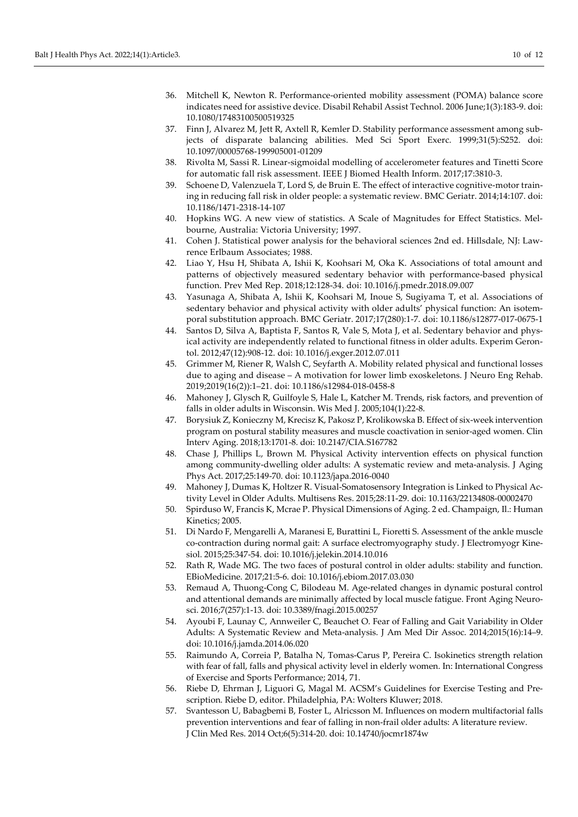- 36. Mitchell K, Newton R. Performance-oriented mobility assessment (POMA) balance score indicates need for assistive device. Disabil Rehabil Assist Technol. 2006 June;1(3):183-9. doi: [10.1080/17483100500519325](https://doi.org/10.1080/17483100500519325)
- 37. Finn J, Alvarez M, Jett R, Axtell R, Kemler D. Stability performance assessment among subjects of disparate balancing abilities. Med Sci Sport Exerc. 1999;31(5):S252. doi: [10.1097/00005768-199905001-01209](https://doi.org/10.1097/00005768-199905001-01209)
- 38. Rivolta M, Sassi R. Linear-sigmoidal modelling of accelerometer features and Tinetti Score for automatic fall risk assessment. IEEE J Biomed Health Inform. 2017;17:3810-3.
- 39. Schoene D, Valenzuela T, Lord S, de Bruin E. The effect of interactive cognitive-motor training in reducing fall risk in older people: a systematic review. BMC Geriatr. 2014;14:107. doi: [10.1186/1471-2318-14-107](https://doi.org/10.1186/1471-2318-14-107)
- 40. Hopkins WG. A new view of statistics. A Scale of Magnitudes for Effect Statistics. Melbourne, Australia: Victoria University; 1997.
- 41. Cohen J. Statistical power analysis for the behavioral sciences 2nd ed. Hillsdale, NJ: Lawrence Erlbaum Associates; 1988.
- 42. Liao Y, Hsu H, Shibata A, Ishii K, Koohsari M, Oka K. Associations of total amount and patterns of objectively measured sedentary behavior with performance-based physical function. Prev Med Rep. 2018;12:128-34. doi: [10.1016/j.pmedr.2018.09.007](https://doi.org/10.1016/j.pmedr.2018.09.007)
- 43. Yasunaga A, Shibata A, Ishii K, Koohsari M, Inoue S, Sugiyama T, et al. Associations of sedentary behavior and physical activity with older adults' physical function: An isotemporal substitution approach. BMC Geriatr. 2017;17(280):1-7. doi[: 10.1186/s12877-017-0675-1](https://doi.org/10.1186/s12877-017-0675-1)
- 44. Santos D, Silva A, Baptista F, Santos R, Vale S, Mota J, et al. Sedentary behavior and physical activity are independently related to functional fitness in older adults. Experim Gerontol. 2012;47(12):908-12. doi: [10.1016/j.exger.2012.07.011](https://doi.org/10.1016/j.exger.2012.07.011)
- 45. Grimmer M, Riener R, Walsh C, Seyfarth A. Mobility related physical and functional losses due to aging and disease – A motivation for lower limb exoskeletons. J Neuro Eng Rehab. 2019;2019(16(2)):1–21. doi: [10.1186/s12984-018-0458-8](https://doi.org/10.1186/s12984-018-0458-8)
- 46. Mahoney J, Glysch R, Guilfoyle S, Hale L, Katcher M. Trends, risk factors, and prevention of falls in older adults in Wisconsin. Wis Med J. 2005;104(1):22-8.
- 47. Borysiuk Z, Konieczny M, Krecisz K, Pakosz P, Krolikowska B. Effect of six-week intervention program on postural stability measures and muscle coactivation in senior-aged women. Clin Interv Aging. 2018;13:1701-8. doi: [10.2147/CIA.S167782](https://doi.org/10.2147/CIA.S167782)
- 48. Chase J, Phillips L, Brown M. Physical Activity intervention effects on physical function among community-dwelling older adults: A systematic review and meta-analysis. J Aging Phys Act. 2017;25:149-70. doi[: 10.1123/japa.2016-0040](https://doi.org/10.1123/japa.2016-0040)
- 49. Mahoney J, Dumas K, Holtzer R. Visual-Somatosensory Integration is Linked to Physical Activity Level in Older Adults. Multisens Res. 2015;28:11-29. doi[: 10.1163/22134808-00002470](https://doi.org/10.1163/22134808-00002470)
- 50. Spirduso W, Francis K, Mcrae P. Physical Dimensions of Aging. 2 ed. Champaign, Il.: Human Kinetics; 2005.
- 51. Di Nardo F, Mengarelli A, Maranesi E, Burattini L, Fioretti S. Assessment of the ankle muscle co-contraction during normal gait: A surface electromyography study. J Electromyogr Kinesiol. 2015;25:347-54. doi[: 10.1016/j.jelekin.2014.10.016](https://doi.org/10.1016/j.jelekin.2014.10.016)
- 52. Rath R, Wade MG. The two faces of postural control in older adults: stability and function. EBioMedicine. 2017;21:5-6. doi[: 10.1016/j.ebiom.2017.03.030](https://doi.org/10.1016/j.ebiom.2017.03.030)
- 53. Remaud A, Thuong-Cong C, Bilodeau M. Age-related changes in dynamic postural control and attentional demands are minimally affected by local muscle fatigue. Front Aging Neurosci. 2016;7(257):1-13. doi: [10.3389/fnagi.2015.00257](https://doi.org/10.3389/fnagi.2015.00257)
- 54. Ayoubi F, Launay C, Annweiler C, Beauchet O. Fear of Falling and Gait Variability in Older Adults: A Systematic Review and Meta-analysis. J Am Med Dir Assoc. 2014;2015(16):14–9. doi[: 10.1016/j.jamda.2014.06.020](https://doi.org/10.1016/j.jamda.2014.06.020)
- 55. Raimundo A, Correia P, Batalha N, Tomas-Carus P, Pereira C. Isokinetics strength relation with fear of fall, falls and physical activity level in elderly women. In: International Congress of Exercise and Sports Performance; 2014, 71.
- 56. Riebe D, Ehrman J, Liguori G, Magal M. ACSM's Guidelines for Exercise Testing and Prescription. Riebe D, editor. Philadelphia, PA: Wolters Kluwer; 2018.
- 57. Svantesson U, Babagbemi B, Foster L, Alricsson M. Influences on modern multifactorial falls prevention interventions and fear of falling in non-frail older adults: A literature review. J Clin Med Res. 2014 Oct;6(5):314-20. doi: [10.14740/jocmr1874w](https://doi.org/10.14740/jocmr1874w)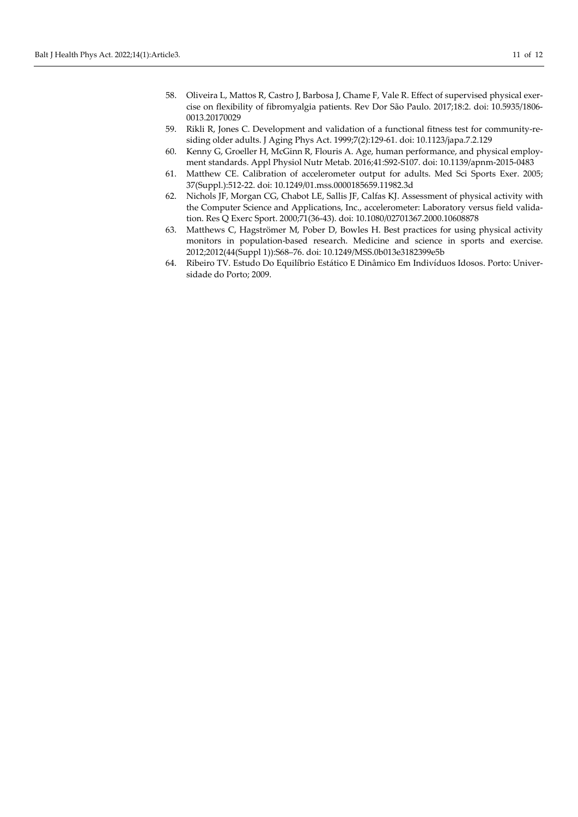- 58. Oliveira L, Mattos R, Castro J, Barbosa J, Chame F, Vale R. Effect of supervised physical exercise on flexibility of fibromyalgia patients. Rev Dor São Paulo. 2017;18:2. doi: [10.5935/1806-](https://doi.org/10.5935/1806-0013.20170029) [0013.20170029](https://doi.org/10.5935/1806-0013.20170029)
- 59. Rikli R, Jones C. Development and validation of a functional fitness test for community-residing older adults. J Aging Phys Act. 1999;7(2):129-61. doi: [10.1123/japa.7.2.129](https://doi.org/10.1123/japa.7.2.129)
- 60. Kenny G, Groeller H, McGinn R, Flouris A. Age, human performance, and physical employment standards. Appl Physiol Nutr Metab. 2016;41:S92-S107. doi: [10.1139/apnm-2015-0483](https://doi.org/10.1139/apnm-2015-0483)
- 61. Matthew CE. Calibration of accelerometer output for adults. Med Sci Sports Exer. 2005; 37(Suppl.):512-22. doi[: 10.1249/01.mss.0000185659.11982.3d](https://doi.org/10.1249/01.mss.0000185659.11982.3d)
- 62. Nichols JF, Morgan CG, Chabot LE, Sallis JF, Calfas KJ. Assessment of physical activity with the Computer Science and Applications, Inc., accelerometer: Laboratory versus field validation. Res Q Exerc Sport. 2000;71(36-43). doi[: 10.1080/02701367.2000.10608878](https://doi.org/10.1080/02701367.2000.10608878)
- 63. Matthews C, Hagströmer M, Pober D, Bowles H. Best practices for using physical activity monitors in population-based research. Medicine and science in sports and exercise. 2012;2012(44(Suppl 1)):S68–76. doi: [10.1249/MSS.0b013e3182399e5b](https://doi.org/10.1249/MSS.0b013e3182399e5b)
- 64. Ribeiro TV. Estudo Do Equilíbrio Estático E Dinâmico Em Indivíduos Idosos. Porto: Universidade do Porto; 2009.